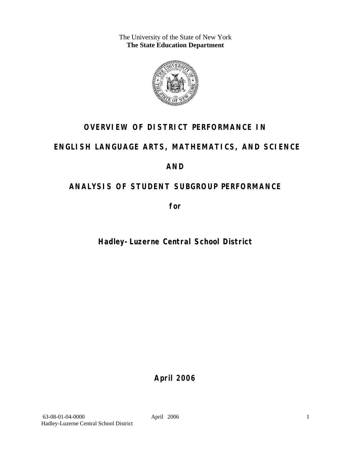The University of the State of New York **The State Education Department** 



# **OVERVIEW OF DISTRICT PERFORMANCE IN**

# **ENGLISH LANGUAGE ARTS, MATHEMATICS, AND SCIENCE**

# **AND**

# **ANALYSIS OF STUDENT SUBGROUP PERFORMANCE**

**for** 

# **Hadley-Luzerne Central School District**

**April 2006**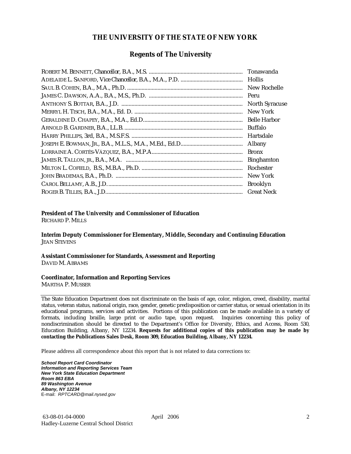### **THE UNIVERSITY OF THE STATE OF NEW YORK**

### **Regents of The University**

| Peru                  |
|-----------------------|
| <b>North Syracuse</b> |
| New York              |
|                       |
| Buffalo               |
| Hartsdale             |
| Albany                |
| <b>Bronx</b>          |
| <b>Binghamton</b>     |
| Rochester             |
| New York              |
| <b>Brooklyn</b>       |
| <b>Great Neck</b>     |

### **President of The University and Commissioner of Education**

RICHARD P. MILLS

**Interim Deputy Commissioner for Elementary, Middle, Secondary and Continuing Education**  JEAN STEVENS

#### **Assistant Commissioner for Standards, Assessment and Reporting**  DAVID M. ABRAMS

#### **Coordinator, Information and Reporting Services**

MARTHA P. MUSSER

The State Education Department does not discriminate on the basis of age, color, religion, creed, disability, marital status, veteran status, national origin, race, gender, genetic predisposition or carrier status, or sexual orientation in its educational programs, services and activities. Portions of this publication can be made available in a variety of formats, including braille, large print or audio tape, upon request. Inquiries concerning this policy of nondiscrimination should be directed to the Department's Office for Diversity, Ethics, and Access, Room 530, Education Building, Albany, NY 12234. **Requests for additional copies of this publication may be made by contacting the Publications Sales Desk, Room 309, Education Building, Albany, NY 12234.** 

Please address all correspondence about this report that is not related to data corrections to:

*School Report Card Coordinator Information and Reporting Services Team New York State Education Department Room 863 EBA 89 Washington Avenue Albany, NY 12234*  E-mail: *RPTCARD@mail.nysed.gov*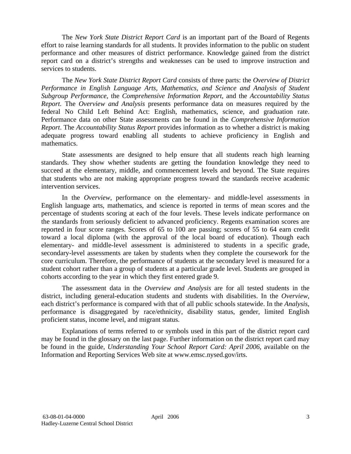The *New York State District Report Card* is an important part of the Board of Regents effort to raise learning standards for all students. It provides information to the public on student performance and other measures of district performance. Knowledge gained from the district report card on a district's strengths and weaknesses can be used to improve instruction and services to students.

The *New York State District Report Card* consists of three parts: the *Overview of District Performance in English Language Arts, Mathematics, and Science and Analysis of Student Subgroup Performance,* the *Comprehensive Information Report,* and the *Accountability Status Report.* The *Overview and Analysis* presents performance data on measures required by the federal No Child Left Behind Act: English, mathematics, science, and graduation rate. Performance data on other State assessments can be found in the *Comprehensive Information Report*. The *Accountability Status Report* provides information as to whether a district is making adequate progress toward enabling all students to achieve proficiency in English and mathematics.

State assessments are designed to help ensure that all students reach high learning standards. They show whether students are getting the foundation knowledge they need to succeed at the elementary, middle, and commencement levels and beyond. The State requires that students who are not making appropriate progress toward the standards receive academic intervention services.

In the *Overview*, performance on the elementary- and middle-level assessments in English language arts, mathematics, and science is reported in terms of mean scores and the percentage of students scoring at each of the four levels. These levels indicate performance on the standards from seriously deficient to advanced proficiency. Regents examination scores are reported in four score ranges. Scores of 65 to 100 are passing; scores of 55 to 64 earn credit toward a local diploma (with the approval of the local board of education). Though each elementary- and middle-level assessment is administered to students in a specific grade, secondary-level assessments are taken by students when they complete the coursework for the core curriculum. Therefore, the performance of students at the secondary level is measured for a student cohort rather than a group of students at a particular grade level. Students are grouped in cohorts according to the year in which they first entered grade 9.

The assessment data in the *Overview and Analysis* are for all tested students in the district, including general-education students and students with disabilities. In the *Overview*, each district's performance is compared with that of all public schools statewide. In the *Analysis*, performance is disaggregated by race/ethnicity, disability status, gender, limited English proficient status, income level, and migrant status.

Explanations of terms referred to or symbols used in this part of the district report card may be found in the glossary on the last page. Further information on the district report card may be found in the guide, *Understanding Your School Report Card: April 2006*, available on the Information and Reporting Services Web site at www.emsc.nysed.gov/irts.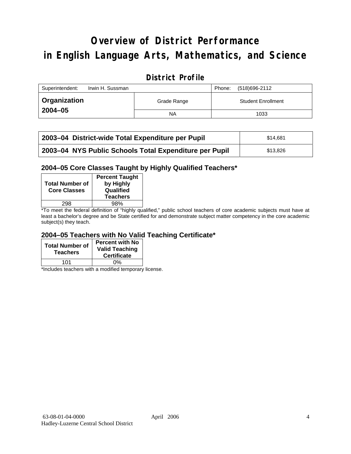# **Overview of District Performance in English Language Arts, Mathematics, and Science**

## **District Profile**

| Superintendent:<br>Irwin H. Sussman |             | (518)696-2112<br>Phone:   |
|-------------------------------------|-------------|---------------------------|
| <b>Organization</b>                 | Grade Range | <b>Student Enrollment</b> |
| $2004 - 05$                         | <b>NA</b>   | 1033                      |

| 2003-04 District-wide Total Expenditure per Pupil      | \$14,681 |
|--------------------------------------------------------|----------|
| 2003-04 NYS Public Schools Total Expenditure per Pupil | \$13.826 |

### **2004–05 Core Classes Taught by Highly Qualified Teachers\***

| <b>Total Number of</b><br><b>Core Classes</b> | <b>Percent Taught</b><br>by Highly<br>Qualified<br><b>Teachers</b> |
|-----------------------------------------------|--------------------------------------------------------------------|
| 298                                           | 98%                                                                |
|                                               |                                                                    |

\*To meet the federal definition of "highly qualified," public school teachers of core academic subjects must have at least a bachelor's degree and be State certified for and demonstrate subject matter competency in the core academic subject(s) they teach.

### **2004–05 Teachers with No Valid Teaching Certificate\***

| <b>Total Number of</b><br><b>Teachers</b> | <b>Percent with No</b><br><b>Valid Teaching</b><br><b>Certificate</b> |
|-------------------------------------------|-----------------------------------------------------------------------|
| 101                                       | ሰ%                                                                    |

\*Includes teachers with a modified temporary license.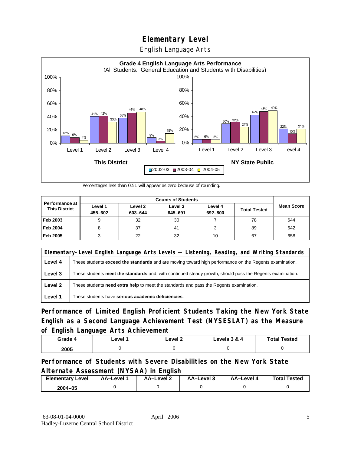English Language Arts



Percentages less than 0.51 will appear as zero because of rounding.

|                                               | <b>Counts of Students</b> |                    |                    |                    |                     |                   |
|-----------------------------------------------|---------------------------|--------------------|--------------------|--------------------|---------------------|-------------------|
| <b>Performance at</b><br><b>This District</b> | Level 1<br>455-602        | Level 2<br>603-644 | Level 3<br>645-691 | Level 4<br>692-800 | <b>Total Tested</b> | <b>Mean Score</b> |
| Feb 2003                                      | 9                         | 32                 | 30                 |                    | 78                  | 644               |
| <b>Feb 2004</b>                               | o                         | 37                 | 41                 |                    | 89                  | 642               |
| Feb 2005                                      |                           | 22                 | 32                 | 10                 | 67                  | 658               |

|         | Elementary-Level English Language Arts Levels — Listening, Reading, and Writing Standards                 |  |  |  |  |
|---------|-----------------------------------------------------------------------------------------------------------|--|--|--|--|
| Level 4 | These students exceed the standards and are moving toward high performance on the Regents examination.    |  |  |  |  |
| Level 3 | These students meet the standards and, with continued steady growth, should pass the Regents examination. |  |  |  |  |
| Level 2 | These students <b>need extra help</b> to meet the standards and pass the Regents examination.             |  |  |  |  |
| Level 1 | These students have serious academic deficiencies.                                                        |  |  |  |  |

**Performance of Limited English Proficient Students Taking the New York State English as a Second Language Achievement Test (NYSESLAT) as the Measure of English Language Arts Achievement**

| Grade 4 | ∟evel ′ | Level 2 | Levels 3 & 4 | <b>Total Tested</b> |
|---------|---------|---------|--------------|---------------------|
| 2005    |         |         |              |                     |

### **Performance of Students with Severe Disabilities on the New York State Alternate Assessment (NYSAA) in English**

| <b>Elementary Level</b> | AA-Level | <b>AA-Level 2</b> | AA-Level 3 | AA–Level | <b>Total Tested</b> |
|-------------------------|----------|-------------------|------------|----------|---------------------|
| 2004-05                 |          |                   |            |          |                     |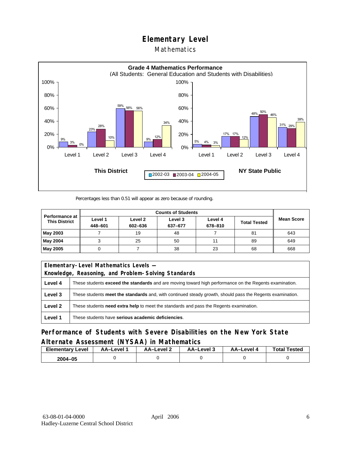### Mathematics



Percentages less than 0.51 will appear as zero because of rounding.

|                                        | <b>Counts of Students</b> |                    |                    |                    |                     |                   |
|----------------------------------------|---------------------------|--------------------|--------------------|--------------------|---------------------|-------------------|
| Performance at<br><b>This District</b> | Level 1<br>448-601        | Level 2<br>602-636 | Level 3<br>637-677 | Level 4<br>678-810 | <b>Total Tested</b> | <b>Mean Score</b> |
| May 2003                               |                           | 19                 | 48                 |                    | 81                  | 643               |
| May 2004                               |                           | 25                 | 50                 | 11                 | 89                  | 649               |
| May 2005                               |                           |                    | 38                 | 23                 | 68                  | 668               |

| Elementary-Level Mathematics Levels - |                                                                                                               |  |  |  |
|---------------------------------------|---------------------------------------------------------------------------------------------------------------|--|--|--|
|                                       | Knowledge, Reasoning, and Problem-Solving Standards                                                           |  |  |  |
| Level 4                               | These students <b>exceed the standards</b> and are moving toward high performance on the Regents examination. |  |  |  |
| Level 3                               | These students meet the standards and, with continued steady growth, should pass the Regents examination.     |  |  |  |
| Level 2                               | These students <b>need extra help</b> to meet the standards and pass the Regents examination.                 |  |  |  |
| Level 1                               | These students have serious academic deficiencies.                                                            |  |  |  |

**Performance of Students with Severe Disabilities on the New York State Alternate Assessment (NYSAA) in Mathematics** 

| <b>Elementary</b><br>Level | AA-Level | AA-Level 2 | AA-Level 3 | AA-Level 4 | <b>Total Tested</b> |
|----------------------------|----------|------------|------------|------------|---------------------|
| 2004-05                    |          |            |            |            |                     |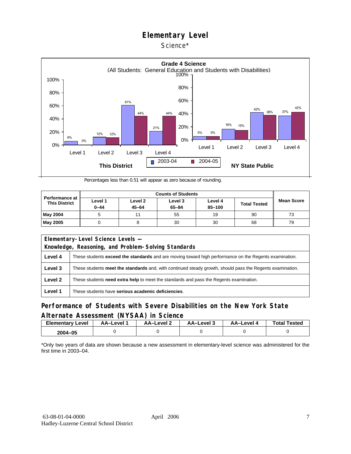### Science\*



Percentages less than 0.51 will appear as zero because of rounding.

| <b>Performance at</b><br><b>This District</b> | Level 1<br>$0 - 44$ | Level 2<br>$45 - 64$ | Level 3<br>$65 - 84$ | Level 4<br>85-100 | <b>Total Tested</b> | <b>Mean Score</b> |
|-----------------------------------------------|---------------------|----------------------|----------------------|-------------------|---------------------|-------------------|
| May 2004                                      |                     |                      | 55                   | 19                | 90                  | 73                |
| <b>May 2005</b>                               |                     |                      | 30                   | 30                | 68                  | 79                |

| Elementary-Level Science Levels -                   |                                                                                                               |  |  |  |  |
|-----------------------------------------------------|---------------------------------------------------------------------------------------------------------------|--|--|--|--|
| Knowledge, Reasoning, and Problem-Solving Standards |                                                                                                               |  |  |  |  |
| Level 4                                             | These students <b>exceed the standards</b> and are moving toward high performance on the Regents examination. |  |  |  |  |
| Level 3                                             | These students meet the standards and, with continued steady growth, should pass the Regents examination.     |  |  |  |  |
| Level 2                                             | These students <b>need extra help</b> to meet the standards and pass the Regents examination.                 |  |  |  |  |
| Level 1                                             | These students have serious academic deficiencies.                                                            |  |  |  |  |

### **Performance of Students with Severe Disabilities on the New York State Alternate Assessment (NYSAA) in Science**

| <b>Elementary Level</b> | AA-Level <sup>*</sup> | AA-Level 2 | د AA–Level | AA–Level 4 | <b>Total Tested</b> |
|-------------------------|-----------------------|------------|------------|------------|---------------------|
| 2004-05                 |                       |            |            |            |                     |

\*Only two years of data are shown because a new assessment in elementary-level science was administered for the first time in 2003–04.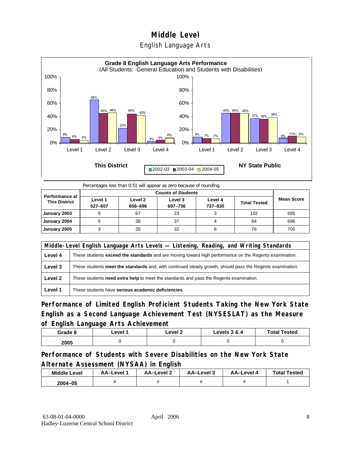## **Middle Level**  English Language Arts



Percentages less than 0.51 will appear as zero because of rounding.

| <b>Performance at</b><br><b>This District</b> | Level 1<br>527-657 | Level 2<br>658-696 | Level 3<br>697-736 | Level 4<br>737-830 | <b>Total Tested</b> | <b>Mean Score</b> |
|-----------------------------------------------|--------------------|--------------------|--------------------|--------------------|---------------------|-------------------|
| January 2003                                  |                    | 67                 | 23                 |                    | 102                 | 685               |
| January 2004                                  |                    | 38                 | 37                 |                    | 84                  | 696               |
| January 2005                                  |                    | 35                 | 32                 |                    | 76                  | 700               |

|         | Middle-Level English Language Arts Levels — Listening, Reading, and Writing Standards                         |  |  |  |  |
|---------|---------------------------------------------------------------------------------------------------------------|--|--|--|--|
| Level 4 | These students <b>exceed the standards</b> and are moving toward high performance on the Regents examination. |  |  |  |  |
| Level 3 | These students meet the standards and, with continued steady growth, should pass the Regents examination.     |  |  |  |  |
| Level 2 | These students <b>need extra help</b> to meet the standards and pass the Regents examination.                 |  |  |  |  |
| Level 1 | These students have serious academic deficiencies.                                                            |  |  |  |  |

**Performance of Limited English Proficient Students Taking the New York State English as a Second Language Achievement Test (NYSESLAT) as the Measure of English Language Arts Achievement**

| Grade 8 | ∟evel 1 | ∟evel 2 | Levels 3 & 4 | <b>Total Tested</b> |
|---------|---------|---------|--------------|---------------------|
| 2005    |         |         |              |                     |

**Performance of Students with Severe Disabilities on the New York State Alternate Assessment (NYSAA) in English** 

| <b>Middle Level</b> | AA-Level | <b>AA-Level 2</b> | AA-Level 3 | AA–Level 4 | <b>Total Tested</b> |
|---------------------|----------|-------------------|------------|------------|---------------------|
| $2004 - 05$         |          |                   |            |            |                     |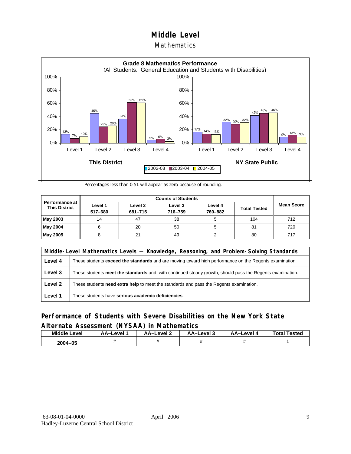### Mathematics



Percentages less than 0.51 will appear as zero because of rounding.

|                                        |                    | <b>Counts of Students</b> |                    |                    |                     |                   |  |  |  |
|----------------------------------------|--------------------|---------------------------|--------------------|--------------------|---------------------|-------------------|--|--|--|
| Performance at<br><b>This District</b> | Level 1<br>517-680 | Level 2<br>681-715        | Level 3<br>716-759 | Level 4<br>760-882 | <b>Total Tested</b> | <b>Mean Score</b> |  |  |  |
| May 2003                               | 14                 | 47                        | 38                 |                    | 104                 | 712               |  |  |  |
| May 2004                               | 6                  | 20                        | 50                 | 5                  | 81                  | 720               |  |  |  |
| May 2005                               |                    | 21                        | 49                 |                    | 80                  | 717               |  |  |  |

|         | Middle-Level Mathematics Levels — Knowledge, Reasoning, and Problem-Solving Standards                         |  |  |  |  |
|---------|---------------------------------------------------------------------------------------------------------------|--|--|--|--|
| Level 4 | These students <b>exceed the standards</b> and are moving toward high performance on the Regents examination. |  |  |  |  |
| Level 3 | These students meet the standards and, with continued steady growth, should pass the Regents examination.     |  |  |  |  |
| Level 2 | These students need extra help to meet the standards and pass the Regents examination.                        |  |  |  |  |
| Level 1 | These students have serious academic deficiencies.                                                            |  |  |  |  |

### **Performance of Students with Severe Disabilities on the New York State Alternate Assessment (NYSAA) in Mathematics**

| <b>Middle Level</b> | AA-Level | AA-Level 2 | AA-Level 3 | AA–Level 4 | <b>Total Tested</b> |
|---------------------|----------|------------|------------|------------|---------------------|
| 2004-05             |          |            |            |            |                     |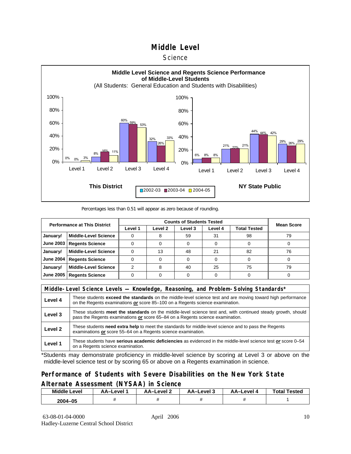#### **Science**



#### Percentages less than 0.51 will appear as zero because of rounding.

| <b>Performance at This District</b> |                             |         | <b>Mean Score</b> |         |         |              |    |
|-------------------------------------|-----------------------------|---------|-------------------|---------|---------|--------------|----|
|                                     |                             | Level 1 | Level 2           | Level 3 | Level 4 | Total Tested |    |
| January/                            | <b>Middle-Level Science</b> |         |                   | 59      | 31      | 98           | 79 |
| <b>June 2003</b>                    | <b>Regents Science</b>      |         |                   |         |         |              |    |
| January/                            | <b>Middle-Level Science</b> |         | 13                | 48      | 21      | 82           | 76 |
| <b>June 2004</b>                    | <b>Regents Science</b>      |         |                   |         | 0       |              |    |
| January/                            | <b>Middle-Level Science</b> | っ       | 8                 | 40      | 25      | 75           | 79 |
| <b>June 2005</b>                    | <b>Regents Science</b>      |         |                   |         |         |              |    |

|         | Middle-Level Science Levels — Knowledge, Reasoning, and Problem-Solving Standards*                                                                                                                  |  |  |  |  |
|---------|-----------------------------------------------------------------------------------------------------------------------------------------------------------------------------------------------------|--|--|--|--|
| Level 4 | These students <b>exceed the standards</b> on the middle-level science test and are moving toward high performance<br>on the Regents examinations or score 85-100 on a Regents science examination. |  |  |  |  |
| Level 3 | These students meet the standards on the middle-level science test and, with continued steady growth, should<br>pass the Regents examinations or score 65–84 on a Regents science examination.      |  |  |  |  |
| Level 2 | These students need extra help to meet the standards for middle-level science and to pass the Regents<br>examinations or score 55–64 on a Regents science examination.                              |  |  |  |  |
| Level 1 | These students have serious academic deficiencies as evidenced in the middle-level science test or score 0-54<br>on a Regents science examination.                                                  |  |  |  |  |

\*Students may demonstrate proficiency in middle-level science by scoring at Level 3 or above on the middle-level science test or by scoring 65 or above on a Regents examination in science.

### **Performance of Students with Severe Disabilities on the New York State Alternate Assessment (NYSAA) in Science**

| <b>Middle Level</b> | AA-Level | AA-Level 2 | AA–Level 3 | AA-Level 4 | <b>Total Tested</b> |
|---------------------|----------|------------|------------|------------|---------------------|
| 2004-05             |          |            |            |            |                     |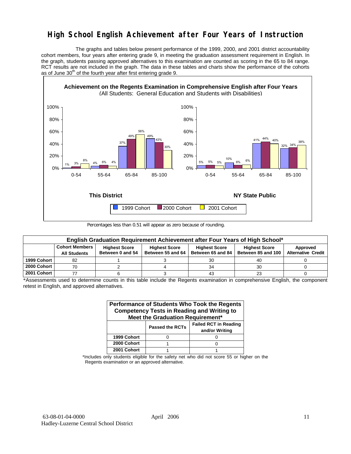# **High School English Achievement after Four Years of Instruction**

 The graphs and tables below present performance of the 1999, 2000, and 2001 district accountability cohort members, four years after entering grade 9, in meeting the graduation assessment requirement in English. In the graph, students passing approved alternatives to this examination are counted as scoring in the 65 to 84 range. RCT results are not included in the graph. The data in these tables and charts show the performance of the cohorts as of June  $30<sup>th</sup>$  of the fourth year after first entering grade 9.



Percentages less than 0.51 will appear as zero because of rounding.

|             | English Graduation Requirement Achievement after Four Years of High School* |                      |                      |                      |                      |                           |  |  |  |  |  |  |
|-------------|-----------------------------------------------------------------------------|----------------------|----------------------|----------------------|----------------------|---------------------------|--|--|--|--|--|--|
|             | <b>Cohort Members</b>                                                       | <b>Highest Score</b> | <b>Highest Score</b> | <b>Highest Score</b> | <b>Highest Score</b> | Approved                  |  |  |  |  |  |  |
|             | <b>All Students</b>                                                         | Between 0 and 54     | Between 55 and 64    | Between 65 and 84    | Between 85 and 100   | <b>Alternative Credit</b> |  |  |  |  |  |  |
| 1999 Cohort | 82                                                                          |                      |                      | 30                   | 40                   |                           |  |  |  |  |  |  |
| 2000 Cohort | 70                                                                          |                      |                      | 34                   | 30                   |                           |  |  |  |  |  |  |
| 2001 Cohort |                                                                             |                      |                      | 43                   | 23                   |                           |  |  |  |  |  |  |

\*Assessments used to determine counts in this table include the Regents examination in comprehensive English, the component retest in English, and approved alternatives.

| Performance of Students Who Took the Regents<br><b>Competency Tests in Reading and Writing to</b><br>Meet the Graduation Requirement* |                        |                                                |  |  |  |  |  |  |
|---------------------------------------------------------------------------------------------------------------------------------------|------------------------|------------------------------------------------|--|--|--|--|--|--|
|                                                                                                                                       | <b>Passed the RCTs</b> | <b>Failed RCT in Reading</b><br>and/or Writing |  |  |  |  |  |  |
| 1999 Cohort                                                                                                                           |                        |                                                |  |  |  |  |  |  |
| 2000 Cohort                                                                                                                           |                        |                                                |  |  |  |  |  |  |
| 2001 Cohort                                                                                                                           |                        |                                                |  |  |  |  |  |  |

\*Includes only students eligible for the safety net who did not score 55 or higher on the Regents examination or an approved alternative.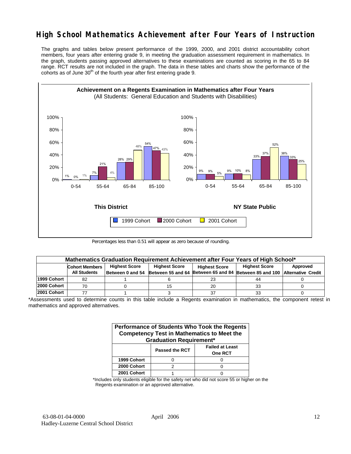# **High School Mathematics Achievement after Four Years of Instruction**

The graphs and tables below present performance of the 1999, 2000, and 2001 district accountability cohort members, four years after entering grade 9, in meeting the graduation assessment requirement in mathematics. In the graph, students passing approved alternatives to these examinations are counted as scoring in the 65 to 84 range. RCT results are not included in the graph. The data in these tables and charts show the performance of the cohorts as of June  $30<sup>th</sup>$  of the fourth year after first entering grade 9.



Percentages less than 0.51 will appear as zero because of rounding.

|             | Mathematics Graduation Requirement Achievement after Four Years of High School* |                      |                                              |    |                                                         |          |  |  |  |  |  |
|-------------|---------------------------------------------------------------------------------|----------------------|----------------------------------------------|----|---------------------------------------------------------|----------|--|--|--|--|--|
|             | <b>Cohort Members</b>                                                           | <b>Highest Score</b> | <b>Highest Score</b><br><b>Highest Score</b> |    | <b>Highest Score</b>                                    | Approved |  |  |  |  |  |
|             | <b>All Students</b>                                                             |                      | Between 0 and 54 Between 55 and 64           |    | Between 65 and 84 Between 85 and 100 Alternative Credit |          |  |  |  |  |  |
| 1999 Cohort | 82                                                                              |                      |                                              | 23 | 44                                                      |          |  |  |  |  |  |
| 2000 Cohort | 70                                                                              |                      |                                              | 20 | 33                                                      |          |  |  |  |  |  |
| 2001 Cohort |                                                                                 |                      |                                              | 37 | 33                                                      |          |  |  |  |  |  |

\*Assessments used to determine counts in this table include a Regents examination in mathematics, the component retest in mathematics and approved alternatives.

| Performance of Students Who Took the Regents<br><b>Competency Test in Mathematics to Meet the</b><br><b>Graduation Requirement*</b> |                       |                                          |  |  |  |  |  |  |
|-------------------------------------------------------------------------------------------------------------------------------------|-----------------------|------------------------------------------|--|--|--|--|--|--|
|                                                                                                                                     | <b>Passed the RCT</b> | <b>Failed at Least</b><br><b>One RCT</b> |  |  |  |  |  |  |
| 1999 Cohort                                                                                                                         |                       |                                          |  |  |  |  |  |  |
| 2000 Cohort                                                                                                                         | っ                     |                                          |  |  |  |  |  |  |
| 2001 Cohort                                                                                                                         |                       |                                          |  |  |  |  |  |  |

\*Includes only students eligible for the safety net who did not score 55 or higher on the Regents examination or an approved alternative.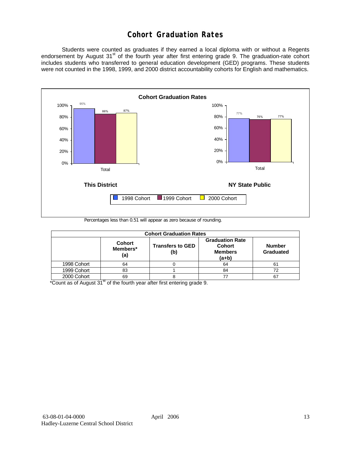# **Cohort Graduation Rates**

 Students were counted as graduates if they earned a local diploma with or without a Regents endorsement by August 31<sup>st</sup> of the fourth year after first entering grade 9. The graduation-rate cohort includes students who transferred to general education development (GED) programs. These students were not counted in the 1998, 1999, and 2000 district accountability cohorts for English and mathematics.



Percentages less than 0.51 will appear as zero because of rounding.

|             | <b>Cohort Graduation Rates</b>   |                                |                                                                      |                            |  |  |  |  |  |  |  |
|-------------|----------------------------------|--------------------------------|----------------------------------------------------------------------|----------------------------|--|--|--|--|--|--|--|
|             | <b>Cohort</b><br>Members*<br>(a) | <b>Transfers to GED</b><br>(b) | <b>Graduation Rate</b><br><b>Cohort</b><br><b>Members</b><br>$(a+b)$ | <b>Number</b><br>Graduated |  |  |  |  |  |  |  |
| 1998 Cohort | 64                               |                                | 64                                                                   | 61                         |  |  |  |  |  |  |  |
| 1999 Cohort | 83                               |                                | 84                                                                   | 72                         |  |  |  |  |  |  |  |
| 2000 Cohort | 69                               |                                |                                                                      | 67                         |  |  |  |  |  |  |  |

 $*$ Count as of August 31 $*$  of the fourth year after first entering grade 9.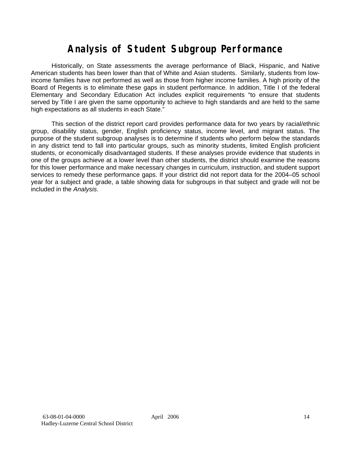# **Analysis of Student Subgroup Performance**

Historically, on State assessments the average performance of Black, Hispanic, and Native American students has been lower than that of White and Asian students. Similarly, students from lowincome families have not performed as well as those from higher income families. A high priority of the Board of Regents is to eliminate these gaps in student performance. In addition, Title I of the federal Elementary and Secondary Education Act includes explicit requirements "to ensure that students served by Title I are given the same opportunity to achieve to high standards and are held to the same high expectations as all students in each State."

This section of the district report card provides performance data for two years by racial/ethnic group, disability status, gender, English proficiency status, income level, and migrant status. The purpose of the student subgroup analyses is to determine if students who perform below the standards in any district tend to fall into particular groups, such as minority students, limited English proficient students, or economically disadvantaged students. If these analyses provide evidence that students in one of the groups achieve at a lower level than other students, the district should examine the reasons for this lower performance and make necessary changes in curriculum, instruction, and student support services to remedy these performance gaps. If your district did not report data for the 2004–05 school year for a subject and grade, a table showing data for subgroups in that subject and grade will not be included in the *Analysis*.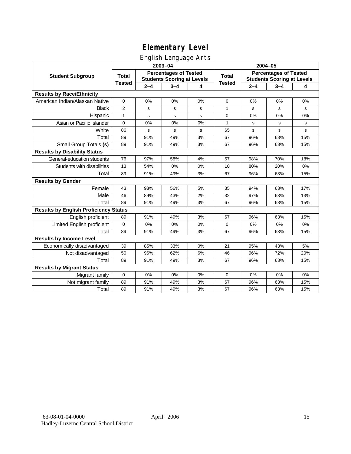# English Language Arts

|                                              |                |             | ັ<br>2003-04                                                      |    | 2004-05       |             |                                                                   |       |
|----------------------------------------------|----------------|-------------|-------------------------------------------------------------------|----|---------------|-------------|-------------------------------------------------------------------|-------|
| <b>Student Subgroup</b>                      | <b>Total</b>   |             | <b>Percentages of Tested</b><br><b>Students Scoring at Levels</b> |    | <b>Total</b>  |             | <b>Percentages of Tested</b><br><b>Students Scoring at Levels</b> |       |
|                                              | <b>Tested</b>  | $2 - 4$     | $3 - 4$                                                           | 4  | <b>Tested</b> | $2 - 4$     | $3 - 4$                                                           | 4     |
| <b>Results by Race/Ethnicity</b>             |                |             |                                                                   |    |               |             |                                                                   |       |
| American Indian/Alaskan Native               | 0              | 0%          | 0%                                                                | 0% | 0             | 0%          | 0%                                                                | 0%    |
| <b>Black</b>                                 | $\overline{2}$ | s           | s                                                                 | s  | 1             | s           | s                                                                 | s     |
| Hispanic                                     | $\mathbf{1}$   | s           | ${\tt s}$                                                         | s  | 0             | 0%          | 0%                                                                | 0%    |
| Asian or Pacific Islander                    | 0              | 0%          | 0%                                                                | 0% | $\mathbf{1}$  | s           | s                                                                 | s     |
| White                                        | 86             | $\mathbf s$ | s                                                                 | s  | 65            | $\mathbf s$ | s                                                                 | s     |
| Total                                        | 89             | 91%         | 49%                                                               | 3% | 67            | 96%         | 63%                                                               | 15%   |
| Small Group Totals (s)                       | 89             | 91%         | 49%                                                               | 3% | 67            | 96%         | 63%                                                               | 15%   |
| <b>Results by Disability Status</b>          |                |             |                                                                   |    |               |             |                                                                   |       |
| General-education students                   | 76             | 97%         | 58%                                                               | 4% | 57            | 98%         | 70%                                                               | 18%   |
| Students with disabilities                   | 13             | 54%         | $0\%$                                                             | 0% | 10            | 80%         | 20%                                                               | $0\%$ |
| Total                                        | 89             | 91%         | 49%                                                               | 3% | 67            | 96%         | 63%                                                               | 15%   |
| <b>Results by Gender</b>                     |                |             |                                                                   |    |               |             |                                                                   |       |
| Female                                       | 43             | 93%         | 56%                                                               | 5% | 35            | 94%         | 63%                                                               | 17%   |
| Male                                         | 46             | 89%         | 43%                                                               | 2% | 32            | 97%         | 63%                                                               | 13%   |
| Total                                        | 89             | 91%         | 49%                                                               | 3% | 67            | 96%         | 63%                                                               | 15%   |
| <b>Results by English Proficiency Status</b> |                |             |                                                                   |    |               |             |                                                                   |       |
| English proficient                           | 89             | 91%         | 49%                                                               | 3% | 67            | 96%         | 63%                                                               | 15%   |
| Limited English proficient                   | $\pmb{0}$      | 0%          | 0%                                                                | 0% | 0             | 0%          | 0%                                                                | 0%    |
| Total                                        | 89             | 91%         | 49%                                                               | 3% | 67            | 96%         | 63%                                                               | 15%   |
| <b>Results by Income Level</b>               |                |             |                                                                   |    |               |             |                                                                   |       |
| Economically disadvantaged                   | 39             | 85%         | 33%                                                               | 0% | 21            | 95%         | 43%                                                               | 5%    |
| Not disadvantaged                            | 50             | 96%         | 62%                                                               | 6% | 46            | 96%         | 72%                                                               | 20%   |
| Total                                        | 89             | 91%         | 49%                                                               | 3% | 67            | 96%         | 63%                                                               | 15%   |
| <b>Results by Migrant Status</b>             |                |             |                                                                   |    |               |             |                                                                   |       |
| Migrant family                               | $\mathbf 0$    | 0%          | 0%                                                                | 0% | 0             | 0%          | 0%                                                                | 0%    |
| Not migrant family                           | 89             | 91%         | 49%                                                               | 3% | 67            | 96%         | 63%                                                               | 15%   |
| Total                                        | 89             | 91%         | 49%                                                               | 3% | 67            | 96%         | 63%                                                               | 15%   |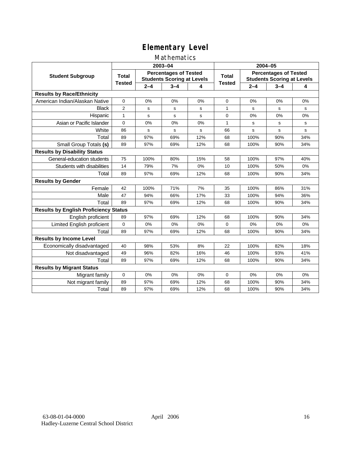### Mathematics

|                                              |                |         | 2003-04                                                           |     | 2004-05       |             |                                                                   |             |
|----------------------------------------------|----------------|---------|-------------------------------------------------------------------|-----|---------------|-------------|-------------------------------------------------------------------|-------------|
| <b>Student Subgroup</b>                      | <b>Total</b>   |         | <b>Percentages of Tested</b><br><b>Students Scoring at Levels</b> |     | Total         |             | <b>Percentages of Tested</b><br><b>Students Scoring at Levels</b> |             |
|                                              | <b>Tested</b>  | $2 - 4$ | $3 - 4$                                                           | 4   | <b>Tested</b> | $2 - 4$     | $3 - 4$                                                           | 4           |
| <b>Results by Race/Ethnicity</b>             |                |         |                                                                   |     |               |             |                                                                   |             |
| American Indian/Alaskan Native               | $\mathbf{0}$   | 0%      | 0%                                                                | 0%  | $\mathbf 0$   | 0%          | 0%                                                                | 0%          |
| <b>Black</b>                                 | $\overline{2}$ | s       | s                                                                 | s   | 1             | s           | s                                                                 | s           |
| Hispanic                                     | $\mathbf{1}$   | s       | s                                                                 | s   | $\mathbf 0$   | 0%          | 0%                                                                | 0%          |
| Asian or Pacific Islander                    | 0              | 0%      | 0%                                                                | 0%  | 1             | s           | s                                                                 | ${\tt s}$   |
| White                                        | 86             | s       | $\mathbf s$                                                       | s   | 66            | $\mathbf s$ | $\mathbf s$                                                       | $\mathbf s$ |
| Total                                        | 89             | 97%     | 69%                                                               | 12% | 68            | 100%        | 90%                                                               | 34%         |
| Small Group Totals (s)                       | 89             | 97%     | 69%                                                               | 12% | 68            | 100%        | 90%                                                               | 34%         |
| <b>Results by Disability Status</b>          |                |         |                                                                   |     |               |             |                                                                   |             |
| General-education students                   | 75             | 100%    | 80%                                                               | 15% | 58            | 100%        | 97%                                                               | 40%         |
| Students with disabilities                   | 14             | 79%     | 7%                                                                | 0%  | 10            | 100%        | 50%                                                               | 0%          |
| Total                                        | 89             | 97%     | 69%                                                               | 12% | 68            | 100%        | 90%                                                               | 34%         |
| <b>Results by Gender</b>                     |                |         |                                                                   |     |               |             |                                                                   |             |
| Female                                       | 42             | 100%    | 71%                                                               | 7%  | 35            | 100%        | 86%                                                               | 31%         |
| Male                                         | 47             | 94%     | 66%                                                               | 17% | 33            | 100%        | 94%                                                               | 36%         |
| Total                                        | 89             | 97%     | 69%                                                               | 12% | 68            | 100%        | 90%                                                               | 34%         |
| <b>Results by English Proficiency Status</b> |                |         |                                                                   |     |               |             |                                                                   |             |
| English proficient                           | 89             | 97%     | 69%                                                               | 12% | 68            | 100%        | 90%                                                               | 34%         |
| Limited English proficient                   | 0              | 0%      | 0%                                                                | 0%  | $\mathbf 0$   | 0%          | 0%                                                                | 0%          |
| Total                                        | 89             | 97%     | 69%                                                               | 12% | 68            | 100%        | 90%                                                               | 34%         |
| <b>Results by Income Level</b>               |                |         |                                                                   |     |               |             |                                                                   |             |
| Economically disadvantaged                   | 40             | 98%     | 53%                                                               | 8%  | 22            | 100%        | 82%                                                               | 18%         |
| Not disadvantaged                            | 49             | 96%     | 82%                                                               | 16% | 46            | 100%        | 93%                                                               | 41%         |
| Total                                        | 89             | 97%     | 69%                                                               | 12% | 68            | 100%        | 90%                                                               | 34%         |
| <b>Results by Migrant Status</b>             |                |         |                                                                   |     |               |             |                                                                   |             |
| Migrant family                               | 0              | 0%      | 0%                                                                | 0%  | 0             | 0%          | 0%                                                                | 0%          |
| Not migrant family                           | 89             | 97%     | 69%                                                               | 12% | 68            | 100%        | 90%                                                               | 34%         |
| Total                                        | 89             | 97%     | 69%                                                               | 12% | 68            | 100%        | 90%                                                               | 34%         |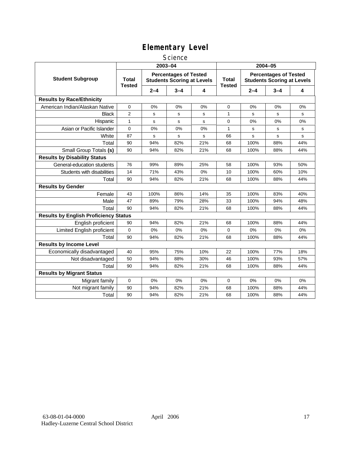### **Science**

|                                              | 2003-04                |         |                                                                   |     | 2004-05                       |         |                                                                   |     |  |
|----------------------------------------------|------------------------|---------|-------------------------------------------------------------------|-----|-------------------------------|---------|-------------------------------------------------------------------|-----|--|
| <b>Student Subgroup</b>                      | Total<br><b>Tested</b> |         | <b>Percentages of Tested</b><br><b>Students Scoring at Levels</b> |     | <b>Total</b><br><b>Tested</b> |         | <b>Percentages of Tested</b><br><b>Students Scoring at Levels</b> |     |  |
|                                              |                        | $2 - 4$ | $3 - 4$                                                           | 4   |                               | $2 - 4$ | $3 - 4$                                                           | 4   |  |
| <b>Results by Race/Ethnicity</b>             |                        |         |                                                                   |     |                               |         |                                                                   |     |  |
| American Indian/Alaskan Native               | 0                      | 0%      | 0%                                                                | 0%  | $\mathbf 0$                   | 0%      | 0%                                                                | 0%  |  |
| <b>Black</b>                                 | $\overline{2}$         | s       | s                                                                 | s   | $\mathbf{1}$                  | S       | s                                                                 | s   |  |
| Hispanic                                     | $\mathbf{1}$           | s       | s                                                                 | s   | $\mathbf 0$                   | 0%      | 0%                                                                | 0%  |  |
| Asian or Pacific Islander                    | 0                      | 0%      | 0%                                                                | 0%  | 1                             | s       | s                                                                 | s   |  |
| White                                        | 87                     | s       | s                                                                 | s   | 66                            | s       | s                                                                 | s   |  |
| Total                                        | 90                     | 94%     | 82%                                                               | 21% | 68                            | 100%    | 88%                                                               | 44% |  |
| Small Group Totals (s)                       | 90                     | 94%     | 82%                                                               | 21% | 68                            | 100%    | 88%                                                               | 44% |  |
| <b>Results by Disability Status</b>          |                        |         |                                                                   |     |                               |         |                                                                   |     |  |
| General-education students                   | 76                     | 99%     | 89%                                                               | 25% | 58                            | 100%    | 93%                                                               | 50% |  |
| Students with disabilities                   | 14                     | 71%     | 43%                                                               | 0%  | 10                            | 100%    | 60%                                                               | 10% |  |
| Total                                        | 90                     | 94%     | 82%                                                               | 21% | 68                            | 100%    | 88%                                                               | 44% |  |
| <b>Results by Gender</b>                     |                        |         |                                                                   |     |                               |         |                                                                   |     |  |
| Female                                       | 43                     | 100%    | 86%                                                               | 14% | 35                            | 100%    | 83%                                                               | 40% |  |
| Male                                         | 47                     | 89%     | 79%                                                               | 28% | 33                            | 100%    | 94%                                                               | 48% |  |
| Total                                        | 90                     | 94%     | 82%                                                               | 21% | 68                            | 100%    | 88%                                                               | 44% |  |
| <b>Results by English Proficiency Status</b> |                        |         |                                                                   |     |                               |         |                                                                   |     |  |
| English proficient                           | 90                     | 94%     | 82%                                                               | 21% | 68                            | 100%    | 88%                                                               | 44% |  |
| Limited English proficient                   | 0                      | 0%      | 0%                                                                | 0%  | 0                             | 0%      | 0%                                                                | 0%  |  |
| Total                                        | 90                     | 94%     | 82%                                                               | 21% | 68                            | 100%    | 88%                                                               | 44% |  |
| <b>Results by Income Level</b>               |                        |         |                                                                   |     |                               |         |                                                                   |     |  |
| Economically disadvantaged                   | 40                     | 95%     | 75%                                                               | 10% | 22                            | 100%    | 77%                                                               | 18% |  |
| Not disadvantaged                            | 50                     | 94%     | 88%                                                               | 30% | 46                            | 100%    | 93%                                                               | 57% |  |
| Total                                        | 90                     | 94%     | 82%                                                               | 21% | 68                            | 100%    | 88%                                                               | 44% |  |
| <b>Results by Migrant Status</b>             |                        |         |                                                                   |     |                               |         |                                                                   |     |  |
| Migrant family                               | 0                      | 0%      | $0\%$                                                             | 0%  | $\mathbf 0$                   | 0%      | 0%                                                                | 0%  |  |
| Not migrant family                           | 90                     | 94%     | 82%                                                               | 21% | 68                            | 100%    | 88%                                                               | 44% |  |
| Total                                        | 90                     | 94%     | 82%                                                               | 21% | 68                            | 100%    | 88%                                                               | 44% |  |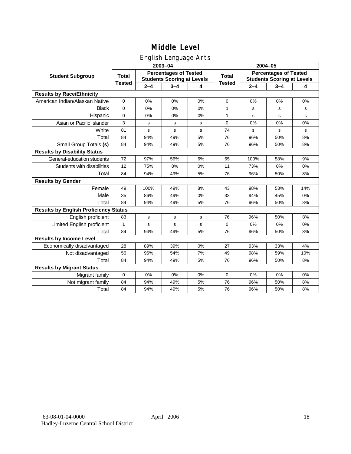## English Language Arts

|                                              |               |         | ັ<br>2003-04                                                      |    | 2004-05       |         |                                                                   |           |  |
|----------------------------------------------|---------------|---------|-------------------------------------------------------------------|----|---------------|---------|-------------------------------------------------------------------|-----------|--|
| <b>Student Subgroup</b>                      | <b>Total</b>  |         | <b>Percentages of Tested</b><br><b>Students Scoring at Levels</b> |    | <b>Total</b>  |         | <b>Percentages of Tested</b><br><b>Students Scoring at Levels</b> |           |  |
|                                              | <b>Tested</b> | $2 - 4$ | $3 - 4$                                                           | 4  | <b>Tested</b> | $2 - 4$ | $3 - 4$                                                           | 4         |  |
| <b>Results by Race/Ethnicity</b>             |               |         |                                                                   |    |               |         |                                                                   |           |  |
| American Indian/Alaskan Native               | $\pmb{0}$     | 0%      | 0%                                                                | 0% | $\mathbf 0$   | 0%      | 0%                                                                | 0%        |  |
| <b>Black</b>                                 | 0             | 0%      | 0%                                                                | 0% | 1             | s       | s                                                                 | s         |  |
| Hispanic                                     | 0             | 0%      | 0%                                                                | 0% | 1             | s       | s                                                                 | s         |  |
| Asian or Pacific Islander                    | 3             | s       | s                                                                 | s  | $\mathbf 0$   | 0%      | 0%                                                                | 0%        |  |
| White                                        | 81            | s       | s                                                                 | s  | 74            | s       | s                                                                 | ${\tt s}$ |  |
| Total                                        | 84            | 94%     | 49%                                                               | 5% | 76            | 96%     | 50%                                                               | 8%        |  |
| Small Group Totals (s)                       | 84            | 94%     | 49%                                                               | 5% | 76            | 96%     | 50%                                                               | 8%        |  |
| <b>Results by Disability Status</b>          |               |         |                                                                   |    |               |         |                                                                   |           |  |
| General-education students                   | 72            | 97%     | 56%                                                               | 6% | 65            | 100%    | 58%                                                               | 9%        |  |
| Students with disabilities                   | 12            | 75%     | 8%                                                                | 0% | 11            | 73%     | 0%                                                                | 0%        |  |
| Total                                        | 84            | 94%     | 49%                                                               | 5% | 76            | 96%     | 50%                                                               | 8%        |  |
| <b>Results by Gender</b>                     |               |         |                                                                   |    |               |         |                                                                   |           |  |
| Female                                       | 49            | 100%    | 49%                                                               | 8% | 43            | 98%     | 53%                                                               | 14%       |  |
| Male                                         | 35            | 86%     | 49%                                                               | 0% | 33            | 94%     | 45%                                                               | 0%        |  |
| Total                                        | 84            | 94%     | 49%                                                               | 5% | 76            | 96%     | 50%                                                               | 8%        |  |
| <b>Results by English Proficiency Status</b> |               |         |                                                                   |    |               |         |                                                                   |           |  |
| English proficient                           | 83            | s       | s                                                                 | s  | 76            | 96%     | 50%                                                               | 8%        |  |
| Limited English proficient                   | $\mathbf{1}$  | s       | s                                                                 | s  | $\Omega$      | 0%      | 0%                                                                | 0%        |  |
| Total                                        | 84            | 94%     | 49%                                                               | 5% | 76            | 96%     | 50%                                                               | 8%        |  |
| <b>Results by Income Level</b>               |               |         |                                                                   |    |               |         |                                                                   |           |  |
| Economically disadvantaged                   | 28            | 89%     | 39%                                                               | 0% | 27            | 93%     | 33%                                                               | 4%        |  |
| Not disadvantaged                            | 56            | 96%     | 54%                                                               | 7% | 49            | 98%     | 59%                                                               | 10%       |  |
| Total                                        | 84            | 94%     | 49%                                                               | 5% | 76            | 96%     | 50%                                                               | 8%        |  |
| <b>Results by Migrant Status</b>             |               |         |                                                                   |    |               |         |                                                                   |           |  |
| Migrant family                               | $\mathbf 0$   | 0%      | 0%                                                                | 0% | $\mathbf 0$   | 0%      | 0%                                                                | 0%        |  |
| Not migrant family                           | 84            | 94%     | 49%                                                               | 5% | 76            | 96%     | 50%                                                               | 8%        |  |
| Total                                        | 84            | 94%     | 49%                                                               | 5% | 76            | 96%     | 50%                                                               | 8%        |  |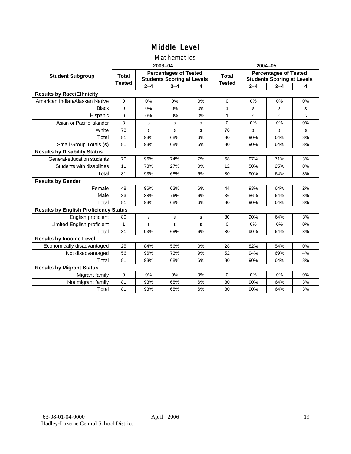### Mathematics

|                                              |               |             | 2003-04                                                           |    | 2004-05       |         |                                                                   |    |
|----------------------------------------------|---------------|-------------|-------------------------------------------------------------------|----|---------------|---------|-------------------------------------------------------------------|----|
| <b>Student Subgroup</b>                      | <b>Total</b>  |             | <b>Percentages of Tested</b><br><b>Students Scoring at Levels</b> |    | Total         |         | <b>Percentages of Tested</b><br><b>Students Scoring at Levels</b> |    |
|                                              | <b>Tested</b> | $2 - 4$     | $3 - 4$                                                           | 4  | <b>Tested</b> | $2 - 4$ | $3 - 4$                                                           | 4  |
| <b>Results by Race/Ethnicity</b>             |               |             |                                                                   |    |               |         |                                                                   |    |
| American Indian/Alaskan Native               | $\mathbf{0}$  | 0%          | 0%                                                                | 0% | $\Omega$      | 0%      | 0%                                                                | 0% |
| <b>Black</b>                                 | $\Omega$      | 0%          | 0%                                                                | 0% | 1             | s       | s                                                                 | s  |
| Hispanic                                     | $\mathbf 0$   | 0%          | 0%                                                                | 0% | $\mathbf{1}$  | s       | s                                                                 | s  |
| Asian or Pacific Islander                    | 3             | s           | ${\tt s}$                                                         | s  | 0             | 0%      | 0%                                                                | 0% |
| White                                        | 78            | s           | $\mathbf s$                                                       | s  | 78            | s       | s                                                                 | s  |
| Total                                        | 81            | 93%         | 68%                                                               | 6% | 80            | 90%     | 64%                                                               | 3% |
| Small Group Totals (s)                       | 81            | 93%         | 68%                                                               | 6% | 80            | 90%     | 64%                                                               | 3% |
| <b>Results by Disability Status</b>          |               |             |                                                                   |    |               |         |                                                                   |    |
| General-education students                   | 70            | 96%         | 74%                                                               | 7% | 68            | 97%     | 71%                                                               | 3% |
| Students with disabilities                   | 11            | 73%         | 27%                                                               | 0% | 12            | 50%     | 25%                                                               | 0% |
| Total                                        | 81            | 93%         | 68%                                                               | 6% | 80            | 90%     | 64%                                                               | 3% |
| <b>Results by Gender</b>                     |               |             |                                                                   |    |               |         |                                                                   |    |
| Female                                       | 48            | 96%         | 63%                                                               | 6% | 44            | 93%     | 64%                                                               | 2% |
| Male                                         | 33            | 88%         | 76%                                                               | 6% | 36            | 86%     | 64%                                                               | 3% |
| Total                                        | 81            | 93%         | 68%                                                               | 6% | 80            | 90%     | 64%                                                               | 3% |
| <b>Results by English Proficiency Status</b> |               |             |                                                                   |    |               |         |                                                                   |    |
| English proficient                           | 80            | $\mathbf s$ | s                                                                 | s  | 80            | 90%     | 64%                                                               | 3% |
| Limited English proficient                   | 1             | s           | $\mathbf s$                                                       | s  | $\mathbf 0$   | 0%      | 0%                                                                | 0% |
| Total                                        | 81            | 93%         | 68%                                                               | 6% | 80            | 90%     | 64%                                                               | 3% |
| <b>Results by Income Level</b>               |               |             |                                                                   |    |               |         |                                                                   |    |
| Economically disadvantaged                   | 25            | 84%         | 56%                                                               | 0% | 28            | 82%     | 54%                                                               | 0% |
| Not disadvantaged                            | 56            | 96%         | 73%                                                               | 9% | 52            | 94%     | 69%                                                               | 4% |
| Total                                        | 81            | 93%         | 68%                                                               | 6% | 80            | 90%     | 64%                                                               | 3% |
| <b>Results by Migrant Status</b>             |               |             |                                                                   |    |               |         |                                                                   |    |
| Migrant family                               | 0             | 0%          | 0%                                                                | 0% | $\Omega$      | 0%      | 0%                                                                | 0% |
| Not migrant family                           | 81            | 93%         | 68%                                                               | 6% | 80            | 90%     | 64%                                                               | 3% |
| Total                                        | 81            | 93%         | 68%                                                               | 6% | 80            | 90%     | 64%                                                               | 3% |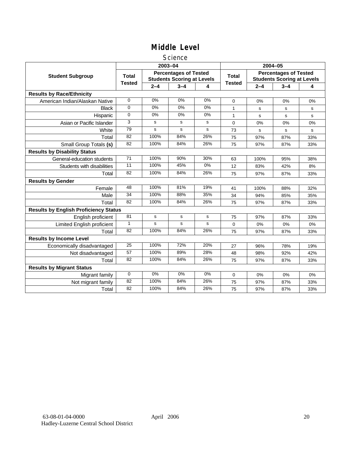### **Science**

|                                              |               |         | 2003-04                                                           |             | 2004-05       |             |                                                                   |     |
|----------------------------------------------|---------------|---------|-------------------------------------------------------------------|-------------|---------------|-------------|-------------------------------------------------------------------|-----|
| <b>Student Subgroup</b>                      | <b>Total</b>  |         | <b>Percentages of Tested</b><br><b>Students Scoring at Levels</b> |             | <b>Total</b>  |             | <b>Percentages of Tested</b><br><b>Students Scoring at Levels</b> |     |
|                                              | <b>Tested</b> | $2 - 4$ | $3 - 4$                                                           | 4           | <b>Tested</b> | $2 - 4$     | $3 - 4$                                                           | 4   |
| <b>Results by Race/Ethnicity</b>             |               |         |                                                                   |             |               |             |                                                                   |     |
| American Indian/Alaskan Native               | $\Omega$      | 0%      | 0%                                                                | 0%          | $\mathbf 0$   | 0%          | 0%                                                                | 0%  |
| <b>Black</b>                                 | 0             | 0%      | 0%                                                                | 0%          | 1             | s           | s                                                                 | s   |
| Hispanic                                     | 0             | 0%      | 0%                                                                | 0%          | $\mathbf{1}$  | s           | s                                                                 | s   |
| Asian or Pacific Islander                    | 3             | s       | s                                                                 | s           | $\mathbf 0$   | 0%          | 0%                                                                | 0%  |
| White                                        | 79            | s       | s                                                                 | s           | 73            | $\mathbf s$ | $\mathbf s$                                                       | s   |
| Total                                        | 82            | 100%    | 84%                                                               | 26%         | 75            | 97%         | 87%                                                               | 33% |
| Small Group Totals (s)                       | 82            | 100%    | 84%                                                               | 26%         | 75            | 97%         | 87%                                                               | 33% |
| <b>Results by Disability Status</b>          |               |         |                                                                   |             |               |             |                                                                   |     |
| General-education students                   | 71            | 100%    | 90%                                                               | 30%         | 63            | 100%        | 95%                                                               | 38% |
| Students with disabilities                   | 11            | 100%    | 45%                                                               | 0%          | 12            | 83%         | 42%                                                               | 8%  |
| Total                                        | 82            | 100%    | 84%                                                               | 26%         | 75            | 97%         | 87%                                                               | 33% |
| <b>Results by Gender</b>                     |               |         |                                                                   |             |               |             |                                                                   |     |
| Female                                       | 48            | 100%    | 81%                                                               | 19%         | 41            | 100%        | 88%                                                               | 32% |
| Male                                         | 34            | 100%    | 88%                                                               | 35%         | 34            | 94%         | 85%                                                               | 35% |
| Total                                        | 82            | 100%    | 84%                                                               | 26%         | 75            | 97%         | 87%                                                               | 33% |
| <b>Results by English Proficiency Status</b> |               |         |                                                                   |             |               |             |                                                                   |     |
| English proficient                           | 81            | s       | $\mathbf s$                                                       | $\mathbf s$ | 75            | 97%         | 87%                                                               | 33% |
| Limited English proficient                   | $\mathbf{1}$  | s       | s                                                                 | s           | 0             | 0%          | 0%                                                                | 0%  |
| Total                                        | 82            | 100%    | 84%                                                               | 26%         | 75            | 97%         | 87%                                                               | 33% |
| <b>Results by Income Level</b>               |               |         |                                                                   |             |               |             |                                                                   |     |
| Economically disadvantaged                   | 25            | 100%    | 72%                                                               | 20%         | 27            | 96%         | 78%                                                               | 19% |
| Not disadvantaged                            | 57            | 100%    | 89%                                                               | 28%         | 48            | 98%         | 92%                                                               | 42% |
| Total                                        | 82            | 100%    | 84%                                                               | 26%         | 75            | 97%         | 87%                                                               | 33% |
| <b>Results by Migrant Status</b>             |               |         |                                                                   |             |               |             |                                                                   |     |
| Migrant family                               | 0             | 0%      | 0%                                                                | 0%          | 0             | 0%          | 0%                                                                | 0%  |
| Not migrant family                           | 82            | 100%    | 84%                                                               | 26%         | 75            | 97%         | 87%                                                               | 33% |
| Total                                        | 82            | 100%    | 84%                                                               | 26%         | 75            | 97%         | 87%                                                               | 33% |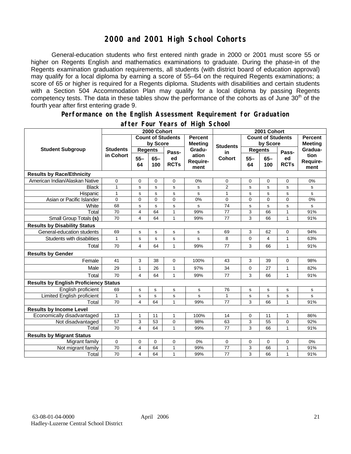## **2000 and 2001 High School Cohorts**

General-education students who first entered ninth grade in 2000 or 2001 must score 55 or higher on Regents English and mathematics examinations to graduate. During the phase-in of the Regents examination graduation requirements, all students (with district board of education approval) may qualify for a local diploma by earning a score of 55–64 on the required Regents examinations; a score of 65 or higher is required for a Regents diploma. Students with disabilities and certain students with a Section 504 Accommodation Plan may qualify for a local diploma by passing Regents competency tests. The data in these tables show the performance of the cohorts as of June  $30<sup>th</sup>$  of the fourth year after first entering grade 9.

#### **Performance on the English Assessment Requirement for Graduation**

|                                              | 2000 Cohort                  |                          |               |                   |                                  | 2001 Cohort              |                |               |                   |                          |
|----------------------------------------------|------------------------------|--------------------------|---------------|-------------------|----------------------------------|--------------------------|----------------|---------------|-------------------|--------------------------|
| <b>Student Subgroup</b>                      |                              | <b>Count of Students</b> |               |                   | <b>Percent</b><br><b>Meeting</b> | <b>Count of Students</b> |                |               |                   | <b>Percent</b>           |
|                                              | <b>Students</b><br>in Cohort | by Score                 |               |                   |                                  | <b>Students</b>          | by Score       |               | <b>Meeting</b>    |                          |
|                                              |                              | <b>Regents</b>           |               | Pass-             | Gradu-                           | in                       | <b>Regents</b> |               | Pass-             | Gradua-                  |
|                                              |                              | $55 -$<br>64             | $65 -$<br>100 | ed<br><b>RCTs</b> | ation<br>Require-<br>ment        | <b>Cohort</b>            | $55 -$<br>64   | $65 -$<br>100 | ed<br><b>RCTs</b> | tion<br>Require-<br>ment |
| <b>Results by Race/Ethnicity</b>             |                              |                          |               |                   |                                  |                          |                |               |                   |                          |
| American Indian/Alaskan Native               | 0                            | 0                        | 0             | 0                 | 0%                               | 0                        | 0              | $\mathbf 0$   | 0                 | 0%                       |
| <b>Black</b>                                 | $\mathbf{1}$                 | s                        | s             | s                 | s                                | $\overline{2}$           | s              | s             | s                 | s                        |
| Hispanic                                     | $\mathbf{1}$                 | s                        | s             | s                 | s                                | $\mathbf{1}$             | s              | s             | s                 | s                        |
| Asian or Pacific Islander                    | 0                            | $\mathbf 0$              | $\mathbf{0}$  | $\overline{0}$    | 0%                               | 0                        | $\Omega$       | $\mathbf 0$   | 0                 | 0%                       |
| White                                        | 68                           | $\mathbf S$              | $\mathbf s$   | s                 | s                                | 74                       | s              | $\mathbf s$   | s                 | s                        |
| Total                                        | 70                           | 4                        | 64            | $\mathbf{1}$      | 99%                              | 77                       | 3              | 66            | $\mathbf{1}$      | 91%                      |
| Small Group Totals (s)                       | 70                           | 4                        | 64            | 1                 | 99%                              | 77                       | 3              | 66            | 1                 | 91%                      |
| <b>Results by Disability Status</b>          |                              |                          |               |                   |                                  |                          |                |               |                   |                          |
| General-education students                   | 69                           | s                        | s             | s                 | s                                | 69                       | 3              | 62            | 0                 | 94%                      |
| Students with disabilities                   | $\mathbf{1}$                 | S                        | $\mathbf s$   | s                 | s                                | 8                        | $\mathbf 0$    | 4             | $\mathbf{1}$      | 63%                      |
| Total                                        | 70                           | $\overline{4}$           | 64            | $\mathbf{1}$      | 99%                              | 77                       | 3              | 66            | $\mathbf{1}$      | 91%                      |
| <b>Results by Gender</b>                     |                              |                          |               |                   |                                  |                          |                |               |                   |                          |
| Female                                       | 41                           | 3                        | 38            | 0                 | 100%                             | 43                       | 3              | 39            | 0                 | 98%                      |
| Male                                         | 29                           | 1                        | 26            | $\mathbf{1}$      | 97%                              | 34                       | 0              | 27            | $\mathbf{1}$      | 82%                      |
| Total                                        | 70                           | $\overline{4}$           | 64            | $\mathbf{1}$      | 99%                              | 77                       | 3              | 66            | $\mathbf{1}$      | 91%                      |
| <b>Results by English Proficiency Status</b> |                              |                          |               |                   |                                  |                          |                |               |                   |                          |
| English proficient                           | 69                           | $\mathbf s$              | ${\bf s}$     | s                 | s                                | 76                       | s              | s             | s                 | $\mathbf s$              |
| Limited English proficient                   | $\mathbf{1}$                 | s                        | s             | s                 | s                                | 1                        | s              | s             | s                 | s                        |
| Total                                        | 70                           | 4                        | 64            | 1                 | 99%                              | 77                       | 3              | 66            | 1                 | 91%                      |
| <b>Results by Income Level</b>               |                              |                          |               |                   |                                  |                          |                |               |                   |                          |
| Economically disadvantaged                   | 13                           | $\mathbf{1}$             | 11            | $\mathbf{1}$      | 100%                             | 14                       | 0              | 11            | $\mathbf{1}$      | 86%                      |
| Not disadvantaged                            | 57                           | 3                        | 53            | 0                 | 98%                              | 63                       | 3              | 55            | 0                 | 92%                      |
| Total                                        | 70                           | $\overline{\mathbf{4}}$  | 64            | 1                 | 99%                              | 77                       | 3              | 66            | 1                 | 91%                      |
| <b>Results by Migrant Status</b>             |                              |                          |               |                   |                                  |                          |                |               |                   |                          |
| Migrant family                               | 0                            | 0                        | 0             | 0                 | 0%                               | 0                        | 0              | 0             | 0                 | 0%                       |
| Not migrant family                           | 70                           | 4                        | 64            | 1                 | 99%                              | $77 \,$                  | 3              | 66            | $\mathbf{1}$      | 91%                      |
| Total                                        | 70                           | $\overline{\mathbf{4}}$  | 64            | 1                 | 99%                              | 77                       | 3              | 66            | 1                 | 91%                      |

### **after Four Years of High School**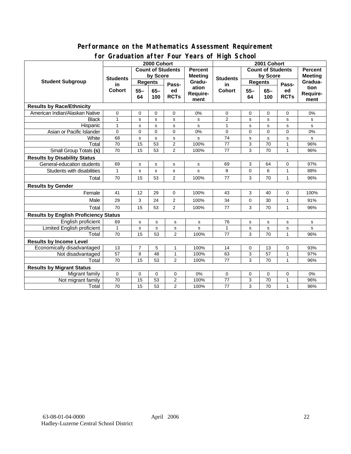### **Performance on the Mathematics Assessment Requirement for Graduation after Four Years of High School**

|                                              | 31 aaaacion aftor Foar<br>2000 Cohort  |                              |             |                  |                | <b>Produced Produced Produced</b><br>2001 Cohort |                |             |              |                |
|----------------------------------------------|----------------------------------------|------------------------------|-------------|------------------|----------------|--------------------------------------------------|----------------|-------------|--------------|----------------|
| <b>Student Subgroup</b>                      | <b>Count of Students</b>               |                              |             |                  | <b>Percent</b> | <b>Count of Students</b>                         |                |             |              | <b>Percent</b> |
|                                              | <b>Students</b><br>in<br><b>Cohort</b> | by Score                     |             |                  | <b>Meeting</b> |                                                  | by Score       |             |              | <b>Meeting</b> |
|                                              |                                        | <b>Regents</b>               |             |                  | Gradu-         | <b>Students</b>                                  | <b>Regents</b> |             |              | Gradua-        |
|                                              |                                        | $55 -$<br>$65-$<br>100<br>64 |             | Pass-<br>ed      | ation          | in<br><b>Cohort</b>                              | $55 -$         | $65-$       | Pass-<br>ed  | tion           |
|                                              |                                        |                              | <b>RCTs</b> | Require-<br>ment |                | 64                                               | 100            | <b>RCTs</b> | Require-     |                |
|                                              |                                        |                              |             |                  |                |                                                  |                |             | ment         |                |
| <b>Results by Race/Ethnicity</b>             |                                        |                              |             |                  |                |                                                  |                |             |              |                |
| American Indian/Alaskan Native               | 0                                      | 0                            | $\mathbf 0$ | $\mathbf 0$      | 0%             | 0                                                | 0              | 0           | $\mathbf 0$  | 0%             |
| <b>Black</b>                                 | $\mathbf{1}$                           | s                            | s           | s                | s              | $\overline{2}$                                   | s              | s           | s            | s              |
| Hispanic                                     | $\mathbf{1}$                           | s                            | s           | s                | s              | $\mathbf{1}$                                     | s              | s           | s            | s              |
| Asian or Pacific Islander                    | $\Omega$                               | $\Omega$                     | $\Omega$    | $\Omega$         | 0%             | $\Omega$                                         | $\Omega$       | $\Omega$    | $\Omega$     | 0%             |
| White                                        | 68                                     | s                            | s           | s                | s              | 74                                               | s              | $\mathbf s$ | s            | s              |
| Total                                        | 70                                     | 15                           | 53          | $\overline{2}$   | 100%           | 77                                               | 3              | 70          | $\mathbf{1}$ | 96%            |
| <b>Small Group Totals (s)</b>                | 70                                     | 15                           | 53          | $\overline{2}$   | 100%           | 77                                               | 3              | 70          | 1            | 96%            |
| <b>Results by Disability Status</b>          |                                        |                              |             |                  |                |                                                  |                |             |              |                |
| General-education students                   | 69                                     | s                            | $\mathbf s$ | s                | s              | 69                                               | 3              | 64          | 0            | 97%            |
| Students with disabilities                   | 1                                      | $\mathbf s$                  | s           | s                | s              | 8                                                | 0              | 6           | 1            | 88%            |
| Total                                        | 70                                     | 15                           | 53          | 2                | 100%           | 77                                               | 3              | 70          | $\mathbf{1}$ | 96%            |
| <b>Results by Gender</b>                     |                                        |                              |             |                  |                |                                                  |                |             |              |                |
| Female                                       | 41                                     | 12                           | 29          | $\mathbf 0$      | 100%           | 43                                               | 3              | 40          | $\mathbf 0$  | 100%           |
| Male                                         | 29                                     | 3                            | 24          | $\overline{2}$   | 100%           | 34                                               | 0              | 30          | $\mathbf{1}$ | 91%            |
| Total                                        | 70                                     | 15                           | 53          | $\overline{2}$   | 100%           | 77                                               | 3              | 70          | 1            | 96%            |
| <b>Results by English Proficiency Status</b> |                                        |                              |             |                  |                |                                                  |                |             |              |                |
| English proficient                           | 69                                     | s                            | $\mathbf s$ | s                | s              | 76                                               | s              | $\mathbf s$ | s            | s              |
| <b>Limited English proficient</b>            | $\mathbf{1}$                           | s                            | $\mathbf s$ | s                | s              | $\mathbf{1}$                                     | $\mathbf s$    | $\mathbf s$ | s            | s              |
| Total                                        | 70                                     | 15                           | 53          | $\overline{2}$   | 100%           | 77                                               | 3              | 70          | $\mathbf{1}$ | 96%            |
| <b>Results by Income Level</b>               |                                        |                              |             |                  |                |                                                  |                |             |              |                |
| Economically disadvantaged                   | 13                                     | 7                            | 5           | 1                | 100%           | 14                                               | 0              | 13          | 0            | 93%            |
| Not disadvantaged                            | 57                                     | 8                            | 48          | 1                | 100%           | 63                                               | 3              | 57          | 1            | 97%            |
| Total                                        | 70                                     | 15                           | 53          | $\overline{2}$   | 100%           | 77                                               | 3              | 70          | 1            | 96%            |
| <b>Results by Migrant Status</b>             |                                        |                              |             |                  |                |                                                  |                |             |              |                |
| Migrant family                               | 0                                      | 0                            | 0           | 0                | 0%             | 0                                                | 0              | 0           | 0            | 0%             |
| Not migrant family                           | 70                                     | 15                           | 53          | $\overline{2}$   | 100%           | 77                                               | 3              | 70          | 1            | 96%            |
| Total                                        | 70                                     | 15                           | 53          | 2                | 100%           | 77                                               | 3              | 70          | 1            | 96%            |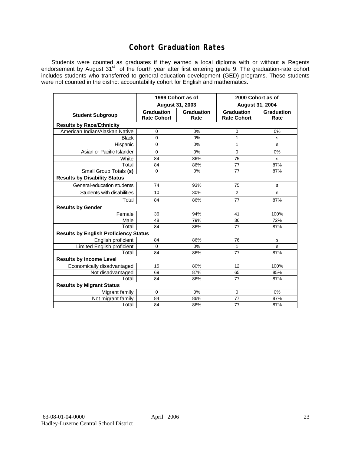## **Cohort Graduation Rates**

Students were counted as graduates if they earned a local diploma with or without a Regents endorsement by August 31<sup>st</sup> of the fourth year after first entering grade 9. The graduation-rate cohort includes students who transferred to general education development (GED) programs. These students were not counted in the district accountability cohort for English and mathematics.

|                                              | 1999 Cohort as of                |                    | 2000 Cohort as of<br><b>August 31, 2004</b> |                    |  |  |  |  |  |  |
|----------------------------------------------|----------------------------------|--------------------|---------------------------------------------|--------------------|--|--|--|--|--|--|
|                                              | August 31, 2003                  |                    |                                             |                    |  |  |  |  |  |  |
| <b>Student Subgroup</b>                      | Graduation<br><b>Rate Cohort</b> | Graduation<br>Rate | Graduation<br><b>Rate Cohort</b>            | Graduation<br>Rate |  |  |  |  |  |  |
| <b>Results by Race/Ethnicity</b>             |                                  |                    |                                             |                    |  |  |  |  |  |  |
| American Indian/Alaskan Native               | 0                                | 0%                 | 0                                           | 0%                 |  |  |  |  |  |  |
| <b>Black</b>                                 | $\Omega$                         | 0%                 | 1                                           | s                  |  |  |  |  |  |  |
| Hispanic                                     | $\mathbf 0$                      | 0%                 | 1                                           | s                  |  |  |  |  |  |  |
| Asian or Pacific Islander                    | $\Omega$                         | 0%                 | $\Omega$                                    | 0%                 |  |  |  |  |  |  |
| White                                        | 84                               | 86%                | 75                                          | s                  |  |  |  |  |  |  |
| Total                                        | 84                               | 86%                | 77                                          | 87%                |  |  |  |  |  |  |
| Small Group Totals (s)                       | $\Omega$                         | 0%                 | 77                                          | 87%                |  |  |  |  |  |  |
| <b>Results by Disability Status</b>          |                                  |                    |                                             |                    |  |  |  |  |  |  |
| General-education students                   | 74                               | 93%                | 75                                          | s                  |  |  |  |  |  |  |
| Students with disabilities                   | 10                               | 30%                | 2                                           | s                  |  |  |  |  |  |  |
| Total                                        | 84                               | 86%                | 77                                          | 87%                |  |  |  |  |  |  |
| <b>Results by Gender</b>                     |                                  |                    |                                             |                    |  |  |  |  |  |  |
| Female                                       | 36                               | 94%                | 41                                          | 100%               |  |  |  |  |  |  |
| Male                                         | 48                               | 79%                | 36                                          | 72%                |  |  |  |  |  |  |
| Total                                        | 84                               | 86%                | 77                                          | 87%                |  |  |  |  |  |  |
| <b>Results by English Proficiency Status</b> |                                  |                    |                                             |                    |  |  |  |  |  |  |
| English proficient                           | 84                               | 86%                | 76                                          | s                  |  |  |  |  |  |  |
| Limited English proficient                   | $\Omega$                         | 0%                 | 1                                           | s                  |  |  |  |  |  |  |
| Total                                        | 84                               | 86%                | 77                                          | 87%                |  |  |  |  |  |  |
| <b>Results by Income Level</b>               |                                  |                    |                                             |                    |  |  |  |  |  |  |
| Economically disadvantaged                   | 15                               | 80%                | 12                                          | 100%               |  |  |  |  |  |  |
| Not disadvantaged                            | 69                               | 87%                | 65                                          | 85%                |  |  |  |  |  |  |
| Total                                        | 84                               | 86%                | 77                                          | 87%                |  |  |  |  |  |  |
| <b>Results by Migrant Status</b>             |                                  |                    |                                             |                    |  |  |  |  |  |  |
| Migrant family                               | $\Omega$                         | 0%                 | $\mathbf 0$                                 | 0%                 |  |  |  |  |  |  |
| Not migrant family                           | 84                               | 86%                | 77                                          | 87%                |  |  |  |  |  |  |
| Total                                        | 84                               | 86%                | 77                                          | 87%                |  |  |  |  |  |  |